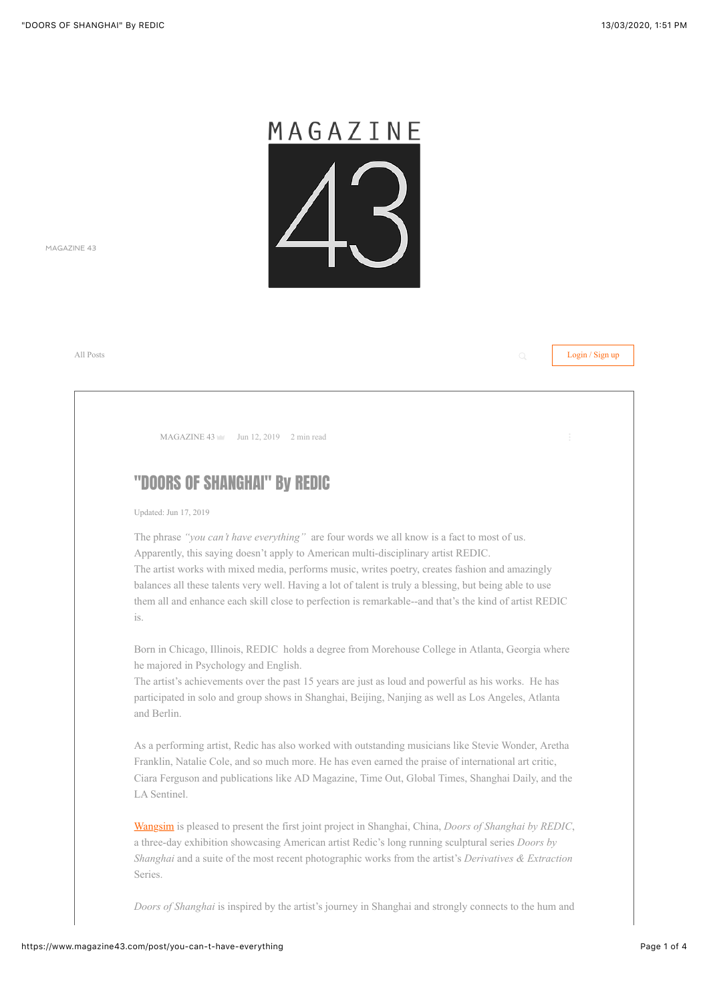

[MAGAZINE 43](https://www.magazine43.com/)

[All Posts](https://www.magazine43.com/blog/) **Login / Sign up**  $\alpha$  **Login / Sign up**  $\alpha$  **Login / Sign up**  $\alpha$ 

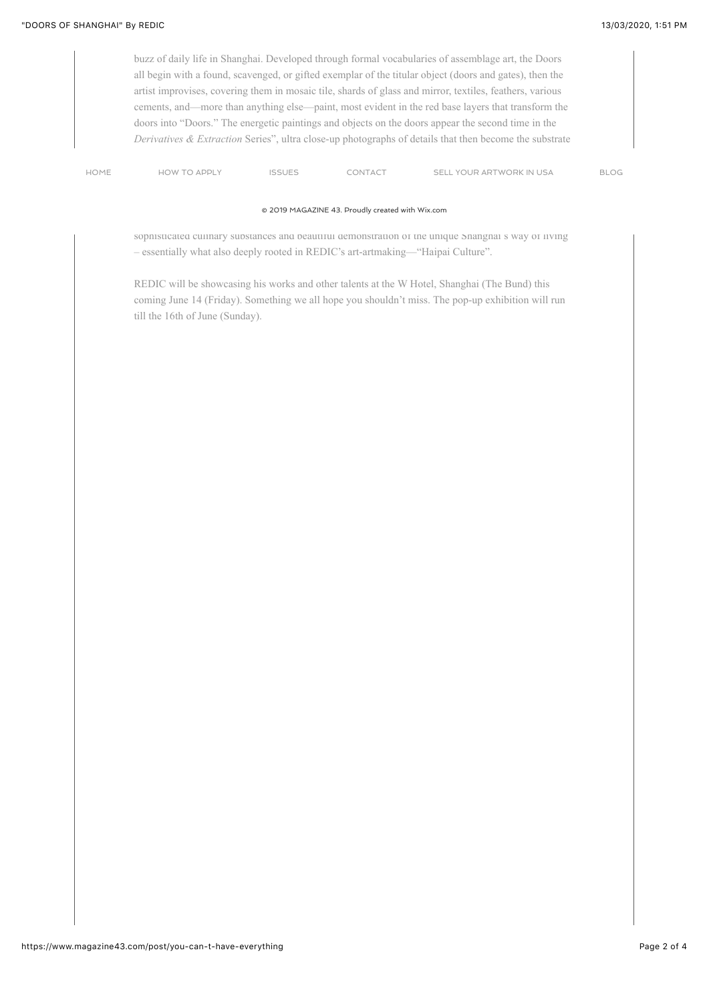buzz of daily life in Shanghai. Developed through formal vocabularies of assemblage art, the Doors all begin with a found, scavenged, or gifted exemplar of the titular object (doors and gates), then the artist improvises, covering them in mosaic tile, shards of glass and mirror, textiles, feathers, various cements, and—more than anything else—paint, most evident in the red base layers that transform the doors into "Doors." The energetic paintings and objects on the doors appear the second time in the *Derivatives & Extraction* Series", ultra close-up photographs of details that then become the substrate

[HOME](https://www.magazine43.com/) HOW TO APPLY ISSUES CONTACT SELL YOUR ARTWORK IN USA [BLOG](https://www.magazine43.com/blog)

## © 2019 MAGAZINE 43. Proudly created with [Wix.com](http://wix.com/?utm_campaign=vir_created_with)

sophisticated culinary substances and beautiful demonstration of the unique Shanghai's way of living – essentially what also deeply rooted in REDIC's art-artmaking—"Haipai Culture".

REDIC will be showcasing his works and other talents at the W Hotel, Shanghai (The Bund) this coming June 14 (Friday). Something we all hope you shouldn't miss. The pop-up exhibition will run till the 16th of June (Sunday).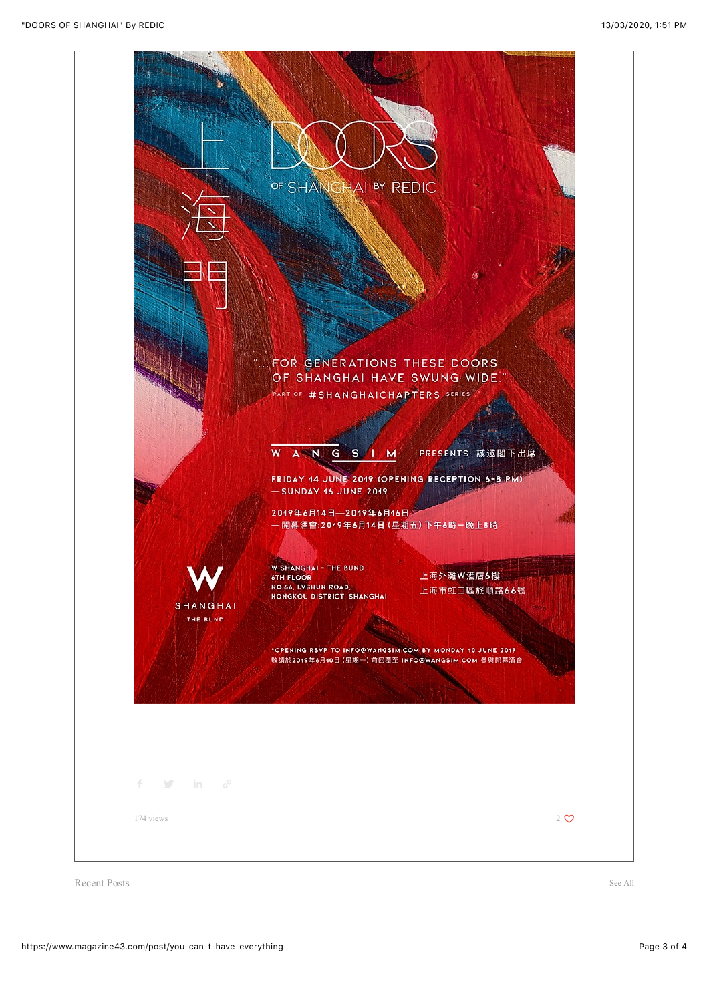

Recent Posts [See All](https://www.magazine43.com/blog/)